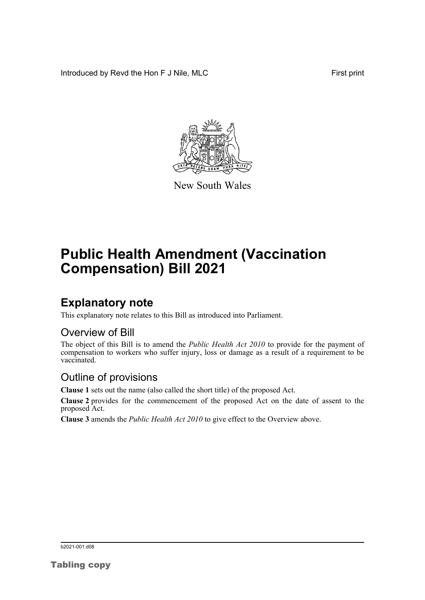Introduced by Revd the Hon F J Nile, MLC First print



New South Wales

# **Public Health Amendment (Vaccination Compensation) Bill 2021**

## **Explanatory note**

This explanatory note relates to this Bill as introduced into Parliament.

#### Overview of Bill

The object of this Bill is to amend the *Public Health Act 2010* to provide for the payment of compensation to workers who suffer injury, loss or damage as a result of a requirement to be vaccinated.

#### Outline of provisions

**Clause 1** sets out the name (also called the short title) of the proposed Act.

**Clause 2** provides for the commencement of the proposed Act on the date of assent to the proposed Act.

**Clause 3** amends the *Public Health Act 2010* to give effect to the Overview above.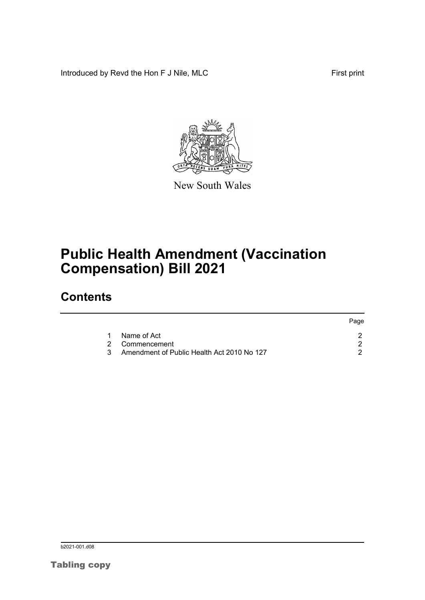Introduced by Revd the Hon F J Nile, MLC First print



New South Wales

# **Public Health Amendment (Vaccination Compensation) Bill 2021**

## **Contents**

|               |                                            | Page |
|---------------|--------------------------------------------|------|
|               | Name of Act                                |      |
|               | 2 Commencement                             |      |
| $\mathcal{R}$ | Amendment of Public Health Act 2010 No 127 |      |

b<sub>2021-001.d08</sub>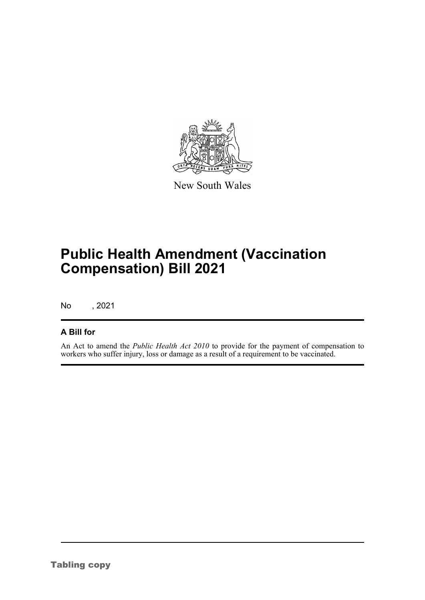

New South Wales

# **Public Health Amendment (Vaccination Compensation) Bill 2021**

No , 2021

#### **A Bill for**

An Act to amend the *Public Health Act 2010* to provide for the payment of compensation to workers who suffer injury, loss or damage as a result of a requirement to be vaccinated.